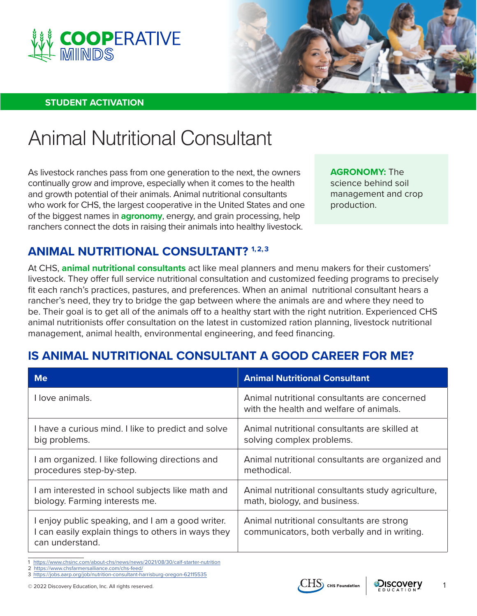



#### **STUDENT ACTIVATION**

# Animal Nutritional Consultant

As livestock ranches pass from one generation to the next, the owners continually grow and improve, especially when it comes to the health and growth potential of their animals. Animal nutritional consultants who work for CHS, the largest cooperative in the United States and one of the biggest names in **agronomy**, energy, and grain processing, help ranchers connect the dots in raising their animals into healthy livestock.

**AGRONOMY:** The science behind soil management and crop production.

## **ANIMAL NUTRITIONAL CONSULTANT? 1,2,3**

At CHS, **animal nutritional consultants** act like meal planners and menu makers for their customers' livestock. They offer full service nutritional consultation and customized feeding programs to precisely fit each ranch's practices, pastures, and preferences. When an animal nutritional consultant hears a rancher's need, they try to bridge the gap between where the animals are and where they need to be. Their goal is to get all of the animals off to a healthy start with the right nutrition. Experienced CHS animal nutritionists offer consultation on the latest in customized ration planning, livestock nutritional management, animal health, environmental engineering, and feed financing.

## **IS ANIMAL NUTRITIONAL CONSULTANT A GOOD CAREER FOR ME?**

| <b>Me</b>                                                                                                                 | <b>Animal Nutritional Consultant</b>                                                      |
|---------------------------------------------------------------------------------------------------------------------------|-------------------------------------------------------------------------------------------|
| I love animals.                                                                                                           | Animal nutritional consultants are concerned<br>with the health and welfare of animals.   |
| I have a curious mind. I like to predict and solve                                                                        | Animal nutritional consultants are skilled at                                             |
| big problems.                                                                                                             | solving complex problems.                                                                 |
| I am organized. I like following directions and                                                                           | Animal nutritional consultants are organized and                                          |
| procedures step-by-step.                                                                                                  | methodical.                                                                               |
| I am interested in school subjects like math and                                                                          | Animal nutritional consultants study agriculture,                                         |
| biology. Farming interests me.                                                                                            | math, biology, and business.                                                              |
| I enjoy public speaking, and I am a good writer.<br>I can easily explain things to others in ways they<br>can understand. | Animal nutritional consultants are strong<br>communicators, both verbally and in writing. |

<https://www.chsinc.com/about-chs/news/news/2021/08/30/calf-starter-nutrition>

<https://www.chsfarmersalliance.com/chs-feed/>

3 <https://jobs.aarp.org/job/nutrition-consultant-harrisburg-oregon-62115535>

© 2022 Discovery Education, Inc. All rights reserved.  $\overline{CHS}$  CHS  $\overline{CHS}$  CHS  $\overline{CHS}$  CHS  $\overline{CHS}$